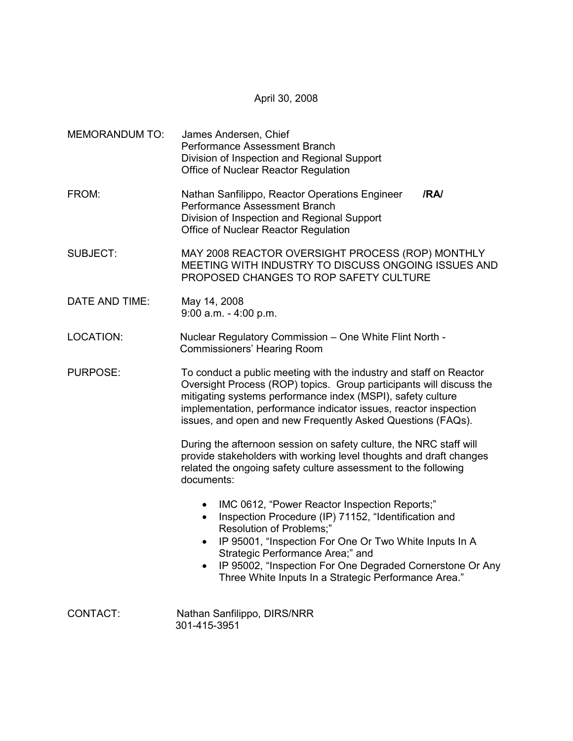April 30, 2008

| <b>MEMORANDUM TO:</b> | James Andersen, Chief<br>Performance Assessment Branch<br>Division of Inspection and Regional Support<br>Office of Nuclear Reactor Regulation                                                                                                                                                                                                                                  |
|-----------------------|--------------------------------------------------------------------------------------------------------------------------------------------------------------------------------------------------------------------------------------------------------------------------------------------------------------------------------------------------------------------------------|
| FROM:                 | Nathan Sanfilippo, Reactor Operations Engineer<br>/RA/<br>Performance Assessment Branch<br>Division of Inspection and Regional Support<br>Office of Nuclear Reactor Regulation                                                                                                                                                                                                 |
| <b>SUBJECT:</b>       | MAY 2008 REACTOR OVERSIGHT PROCESS (ROP) MONTHLY<br>MEETING WITH INDUSTRY TO DISCUSS ONGOING ISSUES AND<br>PROPOSED CHANGES TO ROP SAFETY CULTURE                                                                                                                                                                                                                              |
| DATE AND TIME:        | May 14, 2008<br>$9:00$ a.m. - 4:00 p.m.                                                                                                                                                                                                                                                                                                                                        |
| <b>LOCATION:</b>      | Nuclear Regulatory Commission - One White Flint North -<br>Commissioners' Hearing Room                                                                                                                                                                                                                                                                                         |
| <b>PURPOSE:</b>       | To conduct a public meeting with the industry and staff on Reactor<br>Oversight Process (ROP) topics. Group participants will discuss the<br>mitigating systems performance index (MSPI), safety culture<br>implementation, performance indicator issues, reactor inspection<br>issues, and open and new Frequently Asked Questions (FAQs).                                    |
|                       | During the afternoon session on safety culture, the NRC staff will<br>provide stakeholders with working level thoughts and draft changes<br>related the ongoing safety culture assessment to the following<br>documents:                                                                                                                                                       |
|                       | IMC 0612, "Power Reactor Inspection Reports;"<br>$\bullet$<br>Inspection Procedure (IP) 71152, "Identification and<br>$\bullet$<br>Resolution of Problems;"<br>IP 95001, "Inspection For One Or Two White Inputs In A<br>Strategic Performance Area;" and<br>IP 95002, "Inspection For One Degraded Cornerstone Or Any<br>Three White Inputs In a Strategic Performance Area." |
| CONTACT:              | Nathan Sanfilippo, DIRS/NRR<br>301-415-3951                                                                                                                                                                                                                                                                                                                                    |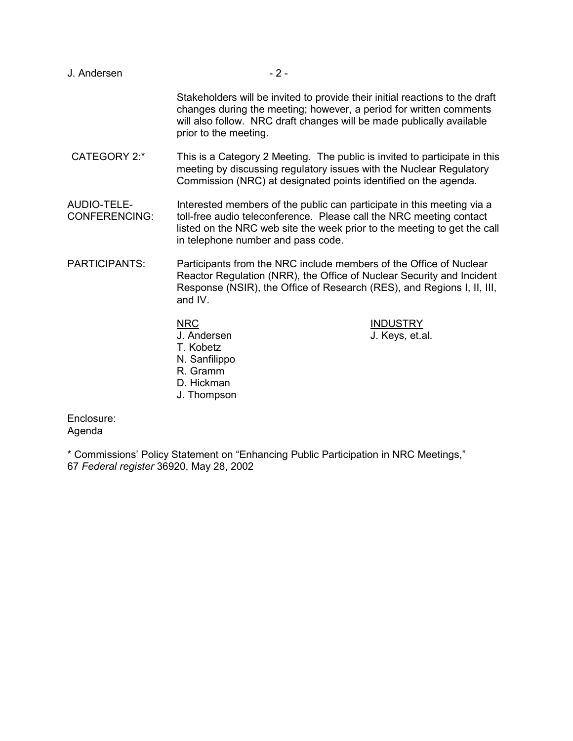- J. Andersen 2 -Stakeholders will be invited to provide their initial reactions to the draft changes during the meeting; however, a period for written comments will also follow. NRC draft changes will be made publically available prior to the meeting. CATEGORY 2:\* This is a Category 2 Meeting. The public is invited to participate in this meeting by discussing regulatory issues with the Nuclear Regulatory Commission (NRC) at designated points identified on the agenda. AUDIO-TELE- Interested members of the public can participate in this meeting via a CONFERENCING: toll-free audio teleconference. Please call the NRC meeting contact listed on the NRC web site the week prior to the meeting to get the call in telephone number and pass code. PARTICIPANTS: Participants from the NRC include members of the Office of Nuclear Reactor Regulation (NRR), the Office of Nuclear Security and Incident Response (NSIR), the Office of Research (RES), and Regions I, II, III, and IV. NRC INDUSTRY J. Andersen J. Keys, et.al. T. Kobetz N. Sanfilippo
	- R. Gramm D. Hickman
	-
	- J. Thompson

Enclosure: Agenda

\* Commissions' Policy Statement on "Enhancing Public Participation in NRC Meetings," 67 *Federal register* 36920, May 28, 2002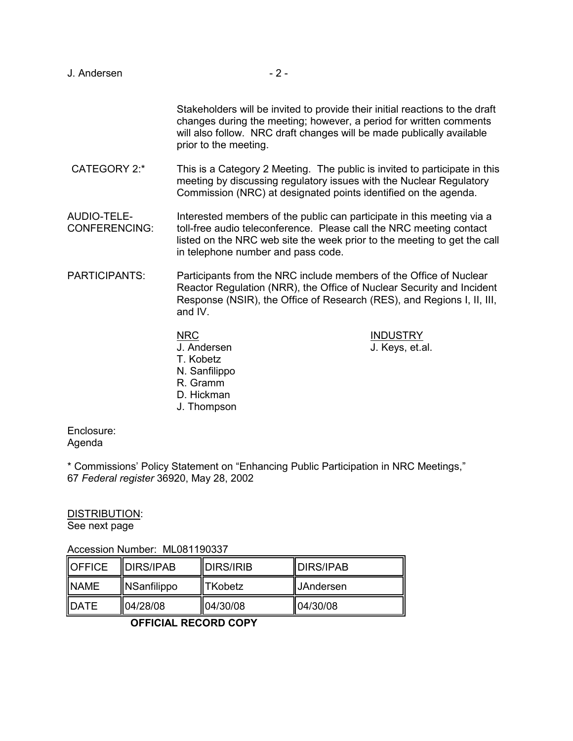| J. Andersen                         | $-2-$                                                                                                                                                                                                                                                           |                                                                                                                                                                                                                             |
|-------------------------------------|-----------------------------------------------------------------------------------------------------------------------------------------------------------------------------------------------------------------------------------------------------------------|-----------------------------------------------------------------------------------------------------------------------------------------------------------------------------------------------------------------------------|
|                                     | prior to the meeting.                                                                                                                                                                                                                                           | Stakeholders will be invited to provide their initial reactions to the draft<br>changes during the meeting; however, a period for written comments<br>will also follow. NRC draft changes will be made publically available |
| <b>CATEGORY 2:*</b>                 |                                                                                                                                                                                                                                                                 | This is a Category 2 Meeting. The public is invited to participate in this<br>meeting by discussing regulatory issues with the Nuclear Regulatory<br>Commission (NRC) at designated points identified on the agenda.        |
| AUDIO-TELE-<br><b>CONFERENCING:</b> | Interested members of the public can participate in this meeting via a<br>toll-free audio teleconference. Please call the NRC meeting contact<br>listed on the NRC web site the week prior to the meeting to get the call<br>in telephone number and pass code. |                                                                                                                                                                                                                             |
| <b>PARTICIPANTS:</b>                | Participants from the NRC include members of the Office of Nuclear<br>Reactor Regulation (NRR), the Office of Nuclear Security and Incident<br>Response (NSIR), the Office of Research (RES), and Regions I, II, III,<br>and IV.                                |                                                                                                                                                                                                                             |
|                                     | <b>NRC</b><br>J. Andersen<br>T. Kobetz<br>N. Sanfilippo<br>R. Gramm<br>D. Hickman<br>J. Thompson                                                                                                                                                                | <b>INDUSTRY</b><br>J. Keys, et.al.                                                                                                                                                                                          |

Enclosure: Agenda

\* Commissions' Policy Statement on "Enhancing Public Participation in NRC Meetings," 67 *Federal register* 36920, May 28, 2002

DISTRIBUTION:

See next page

Accession Number: ML081190337

| <b>IOFFICE</b> | <b>IDIRS/IPAB</b> | IDIRS/IRIB     | <b>IDIRS/IPAB</b>   |
|----------------|-------------------|----------------|---------------------|
| <b>INAME</b>   | NSanfilippo       | <b>TKobetz</b> | <b>II</b> JAndersen |
| <b>IDATE</b>   | 104/28/08         | 04/30/08       | 104/30/08           |

**OFFICIAL RECORD COPY**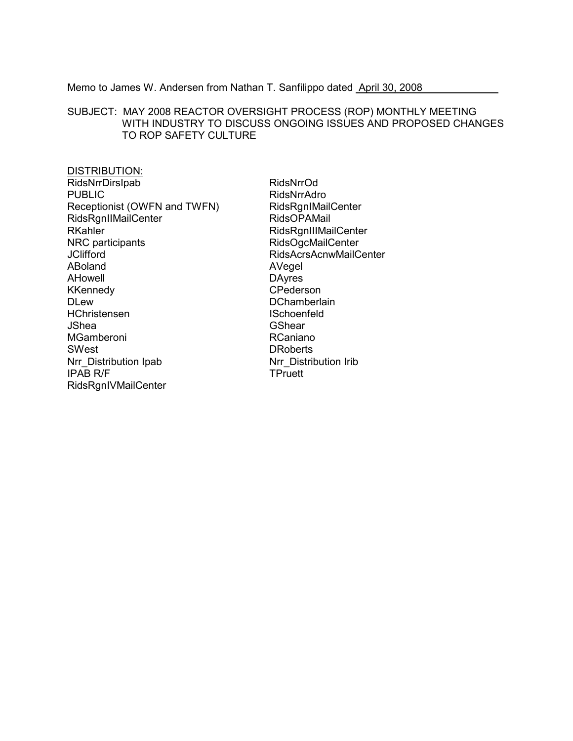Memo to James W. Andersen from Nathan T. Sanfilippo dated April 30, 2008

## SUBJECT: MAY 2008 REACTOR OVERSIGHT PROCESS (ROP) MONTHLY MEETING WITH INDUSTRY TO DISCUSS ONGOING ISSUES AND PROPOSED CHANGES TO ROP SAFETY CULTURE

## **DISTRIBUTION:** RidsNrrDirsIpab **PUBLIC** Receptionist (OWFN and TWFN) RidsRgnIIMailCenter RKahler NRC participants **JClifford** ABoland AHowell **KKennedy DLew** HChristensen **JShea** MGamberoni SWest Nrr Distribution Ipab **IPAB R/F** RidsRgnIVMailCenter

RidsNrrOd RidsNrrAdro RidsRgnIMailCenter RidsOPAMail RidsRgnIIIMailCenter **RidsOgcMailCenter RidsAcrsAcnwMailCenter** AVegel **DAyres** CPederson **DChamberlain ISchoenfeld** GShear **RCaniano DRoberts** Nrr Distribution Irib TPruett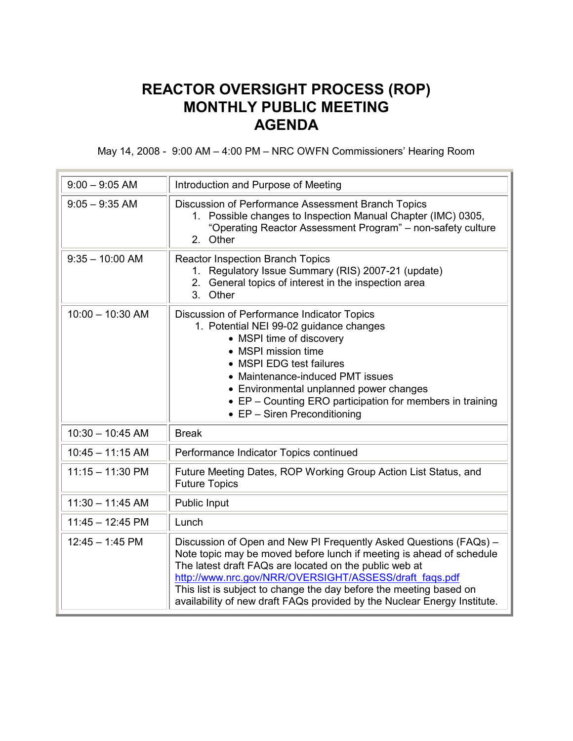## **REACTOR OVERSIGHT PROCESS (ROP) MONTHLY PUBLIC MEETING AGENDA**

May 14, 2008 - 9:00 AM – 4:00 PM – NRC OWFN Commissioners' Hearing Room

| $9:00 - 9:05$ AM   | Introduction and Purpose of Meeting                                                                                                                                                                                                                                                                                                                                                                             |
|--------------------|-----------------------------------------------------------------------------------------------------------------------------------------------------------------------------------------------------------------------------------------------------------------------------------------------------------------------------------------------------------------------------------------------------------------|
| $9:05 - 9:35$ AM   | Discussion of Performance Assessment Branch Topics<br>1. Possible changes to Inspection Manual Chapter (IMC) 0305,<br>"Operating Reactor Assessment Program" - non-safety culture<br>2. Other                                                                                                                                                                                                                   |
| $9:35 - 10:00$ AM  | <b>Reactor Inspection Branch Topics</b><br>Regulatory Issue Summary (RIS) 2007-21 (update)<br>$1_{-}$<br>2. General topics of interest in the inspection area<br>3. Other                                                                                                                                                                                                                                       |
| $10:00 - 10:30$ AM | Discussion of Performance Indicator Topics<br>1. Potential NEI 99-02 guidance changes<br>• MSPI time of discovery<br>• MSPI mission time<br>• MSPI EDG test failures<br>• Maintenance-induced PMT issues<br>• Environmental unplanned power changes<br>• EP - Counting ERO participation for members in training<br>$\bullet$ EP - Siren Preconditioning                                                        |
| $10:30 - 10:45$ AM | <b>Break</b>                                                                                                                                                                                                                                                                                                                                                                                                    |
| $10:45 - 11:15$ AM | Performance Indicator Topics continued                                                                                                                                                                                                                                                                                                                                                                          |
| $11:15 - 11:30$ PM | Future Meeting Dates, ROP Working Group Action List Status, and<br><b>Future Topics</b>                                                                                                                                                                                                                                                                                                                         |
| $11:30 - 11:45$ AM | Public Input                                                                                                                                                                                                                                                                                                                                                                                                    |
| $11:45 - 12:45$ PM | Lunch                                                                                                                                                                                                                                                                                                                                                                                                           |
| $12:45 - 1:45$ PM  | Discussion of Open and New PI Frequently Asked Questions (FAQs) -<br>Note topic may be moved before lunch if meeting is ahead of schedule<br>The latest draft FAQs are located on the public web at<br>http://www.nrc.gov/NRR/OVERSIGHT/ASSESS/draft faqs.pdf<br>This list is subject to change the day before the meeting based on<br>availability of new draft FAQs provided by the Nuclear Energy Institute. |